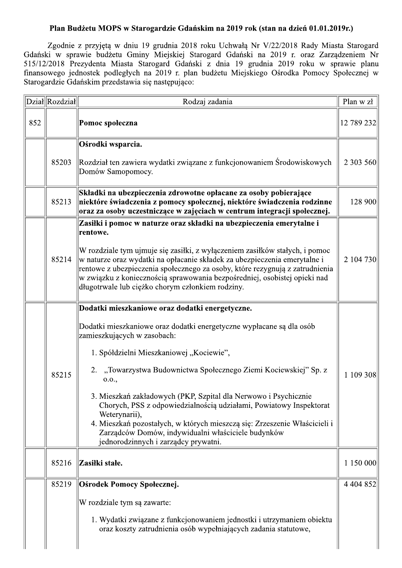## Plan Budżetu MOPS w Starogardzie Gdańskim na 2019 rok (stan na dzień 01.01.2019r.)

Zgodnie z przyjętą w dniu 19 grudnia 2018 roku Uchwałą Nr V/22/2018 Rady Miasta Starogard Gdański w sprawie budżetu Gminy Miejskiej Starogard Gdański na 2019 r. oraz Zarządzeniem Nr 515/12/2018 Prezydenta Miasta Starogard Gdański z dnia 19 grudnia 2019 roku w sprawie planu finansowego jednostek podległych na 2019 r. plan budżetu Miejskiego Ośrodka Pomocy Społecznej w Starogardzie Gdańskim przedstawia się następująco:

|     | Dział Rozdział | Rodzaj zadania                                                                                                                                                                                                                                                                                                                                                            | Plan w zł     |
|-----|----------------|---------------------------------------------------------------------------------------------------------------------------------------------------------------------------------------------------------------------------------------------------------------------------------------------------------------------------------------------------------------------------|---------------|
| 852 |                | Pomoc społeczna                                                                                                                                                                                                                                                                                                                                                           | 12 789 232    |
|     |                | Ośrodki wsparcia.                                                                                                                                                                                                                                                                                                                                                         |               |
|     | 85203          | Rozdział ten zawiera wydatki związane z funkcjonowaniem Środowiskowych<br>Domów Samopomocy.                                                                                                                                                                                                                                                                               | 2 303 560     |
|     | 85213          | Składki na ubezpieczenia zdrowotne opłacane za osoby pobierające<br>niektóre świadczenia z pomocy społecznej, niektóre świadczenia rodzinne<br>oraz za osoby uczestniczące w zajęciach w centrum integracji społecznej.                                                                                                                                                   | 128 900       |
|     |                | Zasiłki i pomoc w naturze oraz składki na ubezpieczenia emerytalne i<br>rentowe.                                                                                                                                                                                                                                                                                          |               |
|     | 85214          | W rozdziale tym ujmuje się zasiłki, z wyłączeniem zasiłków stałych, i pomoc<br>w naturze oraz wydatki na opłacanie składek za ubezpieczenia emerytalne i<br>rentowe z ubezpieczenia społecznego za osoby, które rezygnują z zatrudnienia<br>w związku z koniecznością sprawowania bezpośredniej, osobistej opieki nad<br>długotrwale lub ciężko chorym członkiem rodziny. | 2 104 730     |
|     |                | Dodatki mieszkaniowe oraz dodatki energetyczne.                                                                                                                                                                                                                                                                                                                           |               |
|     |                | Dodatki mieszkaniowe oraz dodatki energetyczne wypłacane są dla osób<br>zamieszkujących w zasobach:                                                                                                                                                                                                                                                                       |               |
|     |                | 1. Spółdzielni Mieszkaniowej "Kociewie",                                                                                                                                                                                                                                                                                                                                  |               |
|     | 85215          | 2. "Towarzystwa Budownictwa Społecznego Ziemi Kociewskiej" Sp. z<br>0.0.,                                                                                                                                                                                                                                                                                                 | 1 109 308     |
|     |                | 3. Mieszkań zakładowych (PKP, Szpital dla Nerwowo i Psychicznie<br>Chorych, PSS z odpowiedzialnością udziałami, Powiatowy Inspektorat<br>Weterynarii),<br>4. Mieszkań pozostałych, w których mieszczą się: Zrzeszenie Właścicieli i<br>Zarządców Domów, indywidualni właściciele budynków<br>jednorodzinnych i zarządcy prywatni.                                         |               |
|     | 85216          | Zasiłki stałe.                                                                                                                                                                                                                                                                                                                                                            | 1 150 000     |
|     | 85219          | Ośrodek Pomocy Społecznej.                                                                                                                                                                                                                                                                                                                                                | 4 4 0 4 8 5 2 |
|     |                | W rozdziale tym są zawarte:                                                                                                                                                                                                                                                                                                                                               |               |
|     |                | 1. Wydatki związane z funkcjonowaniem jednostki i utrzymaniem obiektu<br>oraz koszty zatrudnienia osób wypełniających zadania statutowe,                                                                                                                                                                                                                                  |               |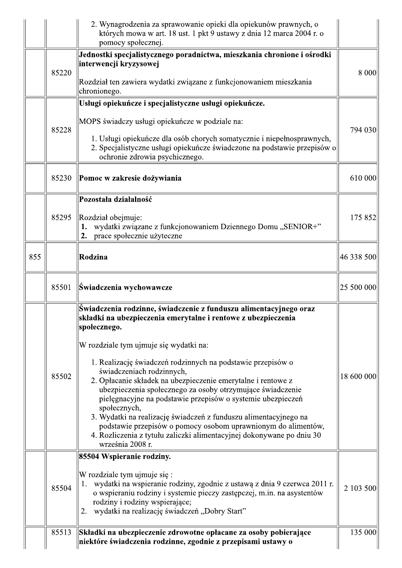|     |       | 2. Wynagrodzenia za sprawowanie opieki dla opiekunów prawnych, o<br>których mowa w art. 18 ust. 1 pkt 9 ustawy z dnia 12 marca 2004 r. o<br>pomocy społecznej.                                                                                                                                                                                                                                                                                                                                                                                                                                                                                                                                                                          |            |
|-----|-------|-----------------------------------------------------------------------------------------------------------------------------------------------------------------------------------------------------------------------------------------------------------------------------------------------------------------------------------------------------------------------------------------------------------------------------------------------------------------------------------------------------------------------------------------------------------------------------------------------------------------------------------------------------------------------------------------------------------------------------------------|------------|
|     | 85220 | Jednostki specjalistycznego poradnictwa, mieszkania chronione i ośrodki<br>interwencji kryzysowej                                                                                                                                                                                                                                                                                                                                                                                                                                                                                                                                                                                                                                       | 8 0 0 0    |
|     |       | Rozdział ten zawiera wydatki związane z funkcjonowaniem mieszkania<br>chronionego.                                                                                                                                                                                                                                                                                                                                                                                                                                                                                                                                                                                                                                                      |            |
|     | 85228 | Usługi opiekuńcze i specjalistyczne usługi opiekuńcze.<br>MOPS świadczy usługi opiekuńcze w podziale na:<br>1. Usługi opiekuńcze dla osób chorych somatycznie i niepełnosprawnych,<br>2. Specjalistyczne usługi opiekuńcze świadczone na podstawie przepisów o<br>ochronie zdrowia psychicznego.                                                                                                                                                                                                                                                                                                                                                                                                                                        | 794 030    |
|     | 85230 | Pomoc w zakresie dożywiania                                                                                                                                                                                                                                                                                                                                                                                                                                                                                                                                                                                                                                                                                                             | 610 000    |
|     | 85295 | Pozostała działalność<br>Rozdział obejmuje:<br>wydatki związane z funkcjonowaniem Dziennego Domu "SENIOR+"<br>1.<br>prace społecznie użyteczne<br>2.                                                                                                                                                                                                                                                                                                                                                                                                                                                                                                                                                                                    | 175 852    |
| 855 |       | Rodzina                                                                                                                                                                                                                                                                                                                                                                                                                                                                                                                                                                                                                                                                                                                                 | 46 338 500 |
|     | 85501 | Świadczenia wychowawcze                                                                                                                                                                                                                                                                                                                                                                                                                                                                                                                                                                                                                                                                                                                 | 25 500 000 |
|     | 85502 | Świadczenia rodzinne, świadczenie z funduszu alimentacyjnego oraz<br>składki na ubezpieczenia emerytalne i rentowe z ubezpieczenia<br>społecznego.<br>W rozdziale tym ujmuje się wydatki na:<br>1. Realizację świadczeń rodzinnych na podstawie przepisów o<br>świadczeniach rodzinnych,<br>2. Opłacanie składek na ubezpieczenie emerytalne i rentowe z<br>ubezpieczenia społecznego za osoby otrzymujące świadczenie<br>pielęgnacyjne na podstawie przepisów o systemie ubezpieczeń<br>społecznych,<br>3. Wydatki na realizację świadczeń z funduszu alimentacyjnego na<br>podstawie przepisów o pomocy osobom uprawnionym do alimentów,<br>4. Rozliczenia z tytułu zaliczki alimentacyjnej dokonywane po dniu 30<br>września 2008 r. | 18 600 000 |
|     | 85504 | 85504 Wspieranie rodziny.<br>W rozdziale tym ujmuje się:<br>wydatki na wspieranie rodziny, zgodnie z ustawą z dnia 9 czerwca 2011 r.<br>1.<br>o wspieraniu rodziny i systemie pieczy zastępczej, m.in. na asystentów<br>rodziny i rodziny wspierające;<br>wydatki na realizację świadczeń "Dobry Start"<br>2.                                                                                                                                                                                                                                                                                                                                                                                                                           | 2 103 500  |
|     | 85513 | Składki na ubezpieczenie zdrowotne opłacane za osoby pobierające<br>niektóre świadczenia rodzinne, zgodnie z przepisami ustawy o                                                                                                                                                                                                                                                                                                                                                                                                                                                                                                                                                                                                        | 135 000    |